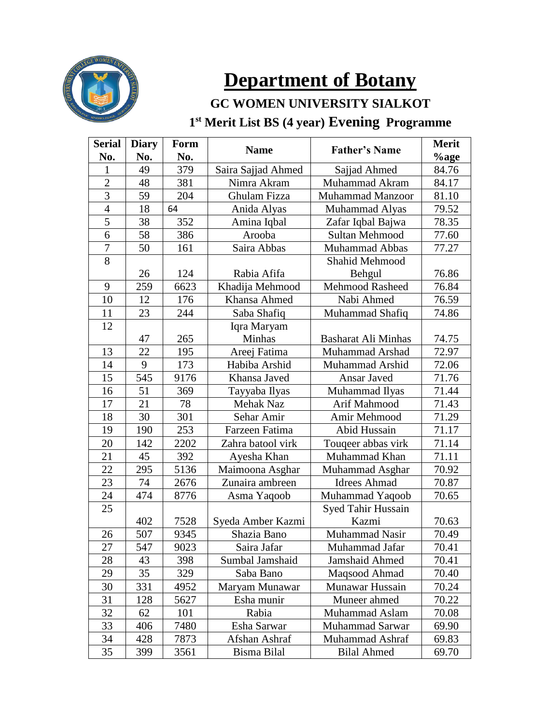

# **Department of Botany**

### **GC WOMEN UNIVERSITY SIALKOT st Merit List BS (4 year) Evening Programme**

| <b>Serial</b>    | <b>Diary</b><br>No.<br>No. | <b>Form</b> | <b>Name</b>        | <b>Father's Name</b>   | <b>Merit</b> |
|------------------|----------------------------|-------------|--------------------|------------------------|--------------|
| No.              |                            |             |                    |                        | %age         |
| 1                | 49                         | 379         | Saira Sajjad Ahmed | Sajjad Ahmed           | 84.76        |
| $\overline{2}$   | 48                         | 381         | Nimra Akram        | Muhammad Akram         | 84.17        |
| 3                | 59                         | 204         | Ghulam Fizza       | Muhammad Manzoor       | 81.10        |
| $\overline{4}$   | 18                         | 64          | Anida Alyas        | Muhammad Alyas         | 79.52        |
| 5                | 38                         | 352         | Amina Iqbal        | Zafar Iqbal Bajwa      | 78.35        |
| 6                | 58                         | 386         | Arooba             | Sultan Mehmood         | 77.60        |
| $\boldsymbol{7}$ | 50                         | 161         | Saira Abbas        | <b>Muhammad Abbas</b>  | 77.27        |
| 8                |                            |             |                    | Shahid Mehmood         |              |
|                  | 26                         | 124         | Rabia Afifa        | Behgul                 | 76.86        |
| 9                | 259                        | 6623        | Khadija Mehmood    | <b>Mehmood Rasheed</b> | 76.84        |
| 10               | 12                         | 176         | Khansa Ahmed       | Nabi Ahmed             | 76.59        |
| 11               | 23                         | 244         | Saba Shafiq        | Muhammad Shafiq        | 74.86        |
| 12               |                            |             | Iqra Maryam        |                        |              |
|                  | 47                         | 265         | Minhas             | Basharat Ali Minhas    | 74.75        |
| 13               | 22                         | 195         | Areej Fatima       | Muhammad Arshad        | 72.97        |
| 14               | 9                          | 173         | Habiba Arshid      | Muhammad Arshid        | 72.06        |
| 15               | 545                        | 9176        | Khansa Javed       | Ansar Javed            | 71.76        |
| 16               | 51                         | 369         | Tayyaba Ilyas      | Muhammad Ilyas         | 71.44        |
| 17               | 21                         | 78          | Mehak Naz          | Arif Mahmood           | 71.43        |
| 18               | 30                         | 301         | Sehar Amir         | Amir Mehmood           | 71.29        |
| 19               | 190                        | 253         | Farzeen Fatima     | Abid Hussain           | 71.17        |
| 20               | 142                        | 2202        | Zahra batool virk  | Touqeer abbas virk     | 71.14        |
| 21               | 45                         | 392         | Ayesha Khan        | Muhammad Khan          | 71.11        |
| 22               | 295                        | 5136        | Maimoona Asghar    | Muhammad Asghar        | 70.92        |
| 23               | 74                         | 2676        | Zunaira ambreen    | <b>Idrees Ahmad</b>    | 70.87        |
| 24               | 474                        | 8776        | Asma Yaqoob        | Muhammad Yaqoob        | 70.65        |
| 25               |                            |             |                    | Syed Tahir Hussain     |              |
|                  | 402                        | 7528        | Syeda Amber Kazmi  | Kazmi                  | 70.63        |
| 26               | 507                        | 9345        | Shazia Bano        | Muhammad Nasir         | 70.49        |
| 27               | 547                        | 9023        | Saira Jafar        | Muhammad Jafar         | 70.41        |
| 28               | 43                         | 398         | Sumbal Jamshaid    | <b>Jamshaid Ahmed</b>  | 70.41        |
| 29               | 35                         | 329         | Saba Bano          | Maqsood Ahmad          | 70.40        |
| 30               | 331                        | 4952        | Maryam Munawar     | Munawar Hussain        | 70.24        |
| 31               | 128                        | 5627        | Esha munir         | Muneer ahmed           | 70.22        |
| 32               | 62                         | 101         | Rabia              | Muhammad Aslam         | 70.08        |
| 33               | 406                        | 7480        | Esha Sarwar        | Muhammad Sarwar        | 69.90        |
| 34               | 428                        | 7873        | Afshan Ashraf      | Muhammad Ashraf        | 69.83        |
| 35               | 399                        | 3561        | Bisma Bilal        | <b>Bilal Ahmed</b>     | 69.70        |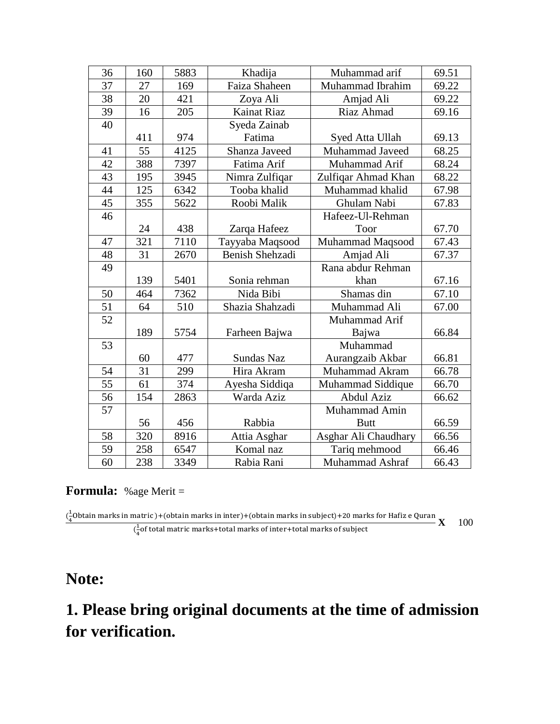| 36 | 160 | 5883 | Khadija            | Muhammad arif        | 69.51 |
|----|-----|------|--------------------|----------------------|-------|
| 37 | 27  | 169  | Faiza Shaheen      | Muhammad Ibrahim     | 69.22 |
| 38 | 20  | 421  | Zoya Ali           | Amjad Ali            | 69.22 |
| 39 | 16  | 205  | <b>Kainat Riaz</b> | Riaz Ahmad           | 69.16 |
| 40 |     |      | Syeda Zainab       |                      |       |
|    | 411 | 974  | Fatima             | Syed Atta Ullah      | 69.13 |
| 41 | 55  | 4125 | Shanza Javeed      | Muhammad Javeed      | 68.25 |
| 42 | 388 | 7397 | Fatima Arif        | Muhammad Arif        | 68.24 |
| 43 | 195 | 3945 | Nimra Zulfiqar     | Zulfiqar Ahmad Khan  | 68.22 |
| 44 | 125 | 6342 | Tooba khalid       | Muhammad khalid      | 67.98 |
| 45 | 355 | 5622 | Roobi Malik        | Ghulam Nabi          | 67.83 |
| 46 |     |      |                    | Hafeez-Ul-Rehman     |       |
|    | 24  | 438  | Zarqa Hafeez       | Toor                 | 67.70 |
| 47 | 321 | 7110 | Tayyaba Maqsood    | Muhammad Maqsood     | 67.43 |
| 48 | 31  | 2670 | Benish Shehzadi    | Amjad Ali            | 67.37 |
| 49 |     |      |                    | Rana abdur Rehman    |       |
|    | 139 | 5401 | Sonia rehman       | khan                 | 67.16 |
| 50 | 464 | 7362 | Nida Bibi          | Shamas din           | 67.10 |
| 51 | 64  | 510  | Shazia Shahzadi    | Muhammad Ali         | 67.00 |
| 52 |     |      |                    | Muhammad Arif        |       |
|    | 189 | 5754 | Farheen Bajwa      | Bajwa                | 66.84 |
| 53 |     |      |                    | Muhammad             |       |
|    | 60  | 477  | Sundas Naz         | Aurangzaib Akbar     | 66.81 |
| 54 | 31  | 299  | Hira Akram         | Muhammad Akram       | 66.78 |
| 55 | 61  | 374  | Ayesha Siddiqa     | Muhammad Siddique    | 66.70 |
| 56 | 154 | 2863 | Warda Aziz         | Abdul Aziz           | 66.62 |
| 57 |     |      |                    | Muhammad Amin        |       |
|    | 56  | 456  | Rabbia             | <b>Butt</b>          | 66.59 |
| 58 | 320 | 8916 | Attia Asghar       | Asghar Ali Chaudhary | 66.56 |
| 59 | 258 | 6547 | Komal naz          | Tariq mehmood        | 66.46 |
| 60 | 238 | 3349 | Rabia Rani         | Muhammad Ashraf      | 66.43 |

#### **Formula:** %age Merit =

 $\left(\frac{1}{2}\right)$  $\frac{1}{4}$ Obtain marks in matric )+(obtain marks in inter)+(obtain marks in subject)+20 marks for Hafiz e Quran  $\left(\frac{1}{4}\right)$  $\frac{1}{4}$ of total matric marks+total marks of inter+total marks of subject **X** 100

### **Note:**

## **1. Please bring original documents at the time of admission for verification.**